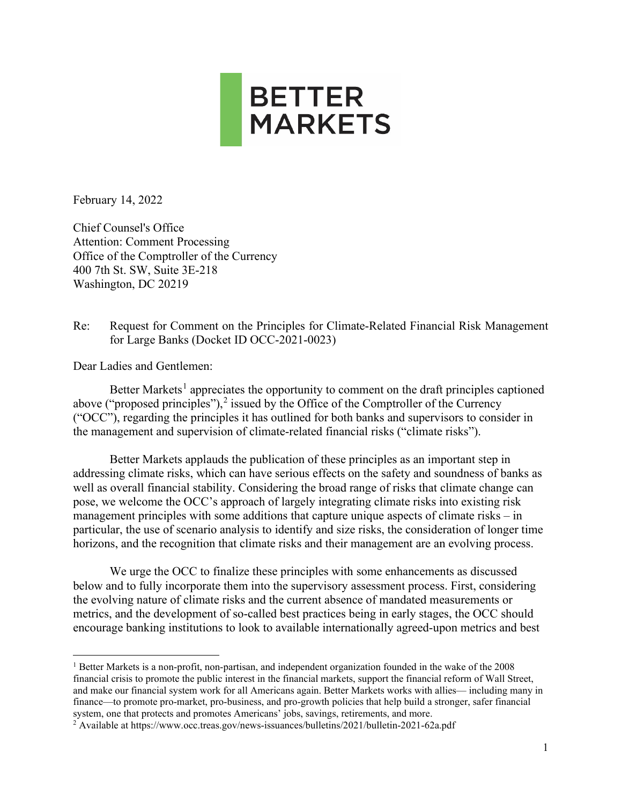

February 14, 2022

Chief Counsel's Office Attention: Comment Processing Office of the Comptroller of the Currency 400 7th St. SW, Suite 3E-218 Washington, DC 20219

Re: Request for Comment on the Principles for Climate-Related Financial Risk Management for Large Banks (Docket ID OCC-2021-0023)

Dear Ladies and Gentlemen:

Better Markets<sup>[1](#page-0-0)</sup> appreciates the opportunity to comment on the draft principles captioned above ("proposed principles"), $^2$  $^2$  issued by the Office of the Comptroller of the Currency ("OCC"), regarding the principles it has outlined for both banks and supervisors to consider in the management and supervision of climate-related financial risks ("climate risks").

Better Markets applauds the publication of these principles as an important step in addressing climate risks, which can have serious effects on the safety and soundness of banks as well as overall financial stability. Considering the broad range of risks that climate change can pose, we welcome the OCC's approach of largely integrating climate risks into existing risk management principles with some additions that capture unique aspects of climate risks – in particular, the use of scenario analysis to identify and size risks, the consideration of longer time horizons, and the recognition that climate risks and their management are an evolving process.

We urge the OCC to finalize these principles with some enhancements as discussed below and to fully incorporate them into the supervisory assessment process. First, considering the evolving nature of climate risks and the current absence of mandated measurements or metrics, and the development of so-called best practices being in early stages, the OCC should encourage banking institutions to look to available internationally agreed-upon metrics and best

<span id="page-0-0"></span><sup>&</sup>lt;sup>1</sup> Better Markets is a non-profit, non-partisan, and independent organization founded in the wake of the 2008 financial crisis to promote the public interest in the financial markets, support the financial reform of Wall Street, and make our financial system work for all Americans again. Better Markets works with allies— including many in finance—to promote pro-market, pro-business, and pro-growth policies that help build a stronger, safer financial system, one that protects and promotes Americans' jobs, savings, retirements, and more.

<span id="page-0-1"></span><sup>&</sup>lt;sup>2</sup> Available at https://www.occ.treas.gov/news-issuances/bulletins/2021/bulletin-2021-62a.pdf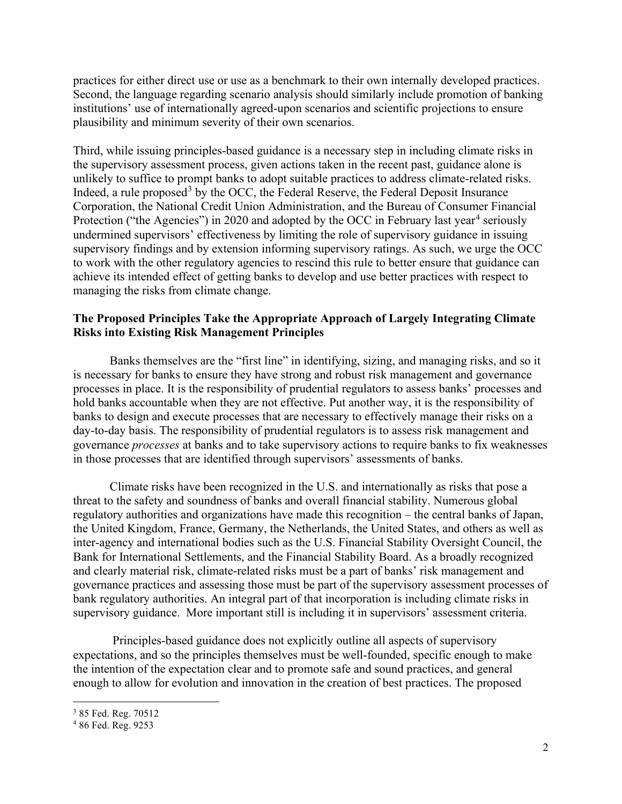practices for either direct use or use as a benchmark to their own internally developed practices. Second, the language regarding scenario analysis should similarly include promotion of banking institutions' use of internationally agreed-upon scenarios and scientific projections to ensure plausibility and minimum severity of their own scenarios.

Third, while issuing principles-based guidance is a necessary step in including climate risks in the supervisory assessment process, given actions taken in the recent past, guidance alone is unlikely to suffice to prompt banks to adopt suitable practices to address climate-related risks. Indeed, a rule proposed<sup>[3](#page-1-0)</sup> by the OCC, the Federal Reserve, the Federal Deposit Insurance Corporation, the National Credit Union Administration, and the Bureau of Consumer Financial Protection ("the Agencies") in 2020 and adopted by the OCC in February last year<sup>[4](#page-1-1)</sup> seriously undermined supervisors' effectiveness by limiting the role of supervisory guidance in issuing supervisory findings and by extension informing supervisory ratings. As such, we urge the OCC to work with the other regulatory agencies to rescind this rule to better ensure that guidance can achieve its intended effect of getting banks to develop and use better practices with respect to managing the risks from climate change.

# **The Proposed Principles Take the Appropriate Approach of Largely Integrating Climate Risks into Existing Risk Management Principles**

Banks themselves are the "first line" in identifying, sizing, and managing risks, and so it is necessary for banks to ensure they have strong and robust risk management and governance processes in place. It is the responsibility of prudential regulators to assess banks' processes and hold banks accountable when they are not effective. Put another way, it is the responsibility of banks to design and execute processes that are necessary to effectively manage their risks on a day-to-day basis. The responsibility of prudential regulators is to assess risk management and governance *processes* at banks and to take supervisory actions to require banks to fix weaknesses in those processes that are identified through supervisors' assessments of banks.

Climate risks have been recognized in the U.S. and internationally as risks that pose a threat to the safety and soundness of banks and overall financial stability. Numerous global regulatory authorities and organizations have made this recognition – the central banks of Japan, the United Kingdom, France, Germany, the Netherlands, the United States, and others as well as inter-agency and international bodies such as the U.S. Financial Stability Oversight Council, the Bank for International Settlements, and the Financial Stability Board. As a broadly recognized and clearly material risk, climate-related risks must be a part of banks' risk management and governance practices and assessing those must be part of the supervisory assessment processes of bank regulatory authorities. An integral part of that incorporation is including climate risks in supervisory guidance. More important still is including it in supervisors' assessment criteria.

Principles-based guidance does not explicitly outline all aspects of supervisory expectations, and so the principles themselves must be well-founded, specific enough to make the intention of the expectation clear and to promote safe and sound practices, and general enough to allow for evolution and innovation in the creation of best practices. The proposed

<span id="page-1-0"></span><sup>3</sup> 85 Fed. Reg. 70512

<span id="page-1-1"></span><sup>4</sup> 86 Fed. Reg. 9253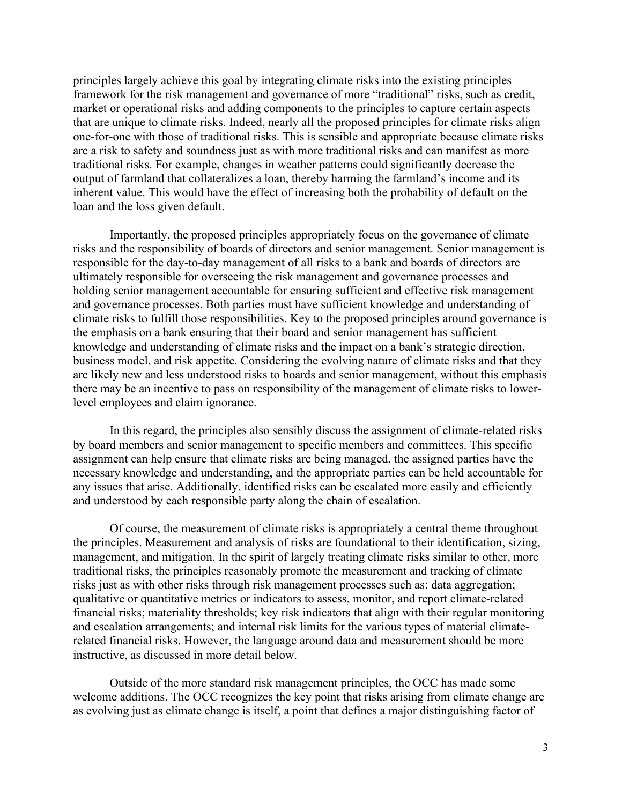principles largely achieve this goal by integrating climate risks into the existing principles framework for the risk management and governance of more "traditional" risks, such as credit, market or operational risks and adding components to the principles to capture certain aspects that are unique to climate risks. Indeed, nearly all the proposed principles for climate risks align one-for-one with those of traditional risks. This is sensible and appropriate because climate risks are a risk to safety and soundness just as with more traditional risks and can manifest as more traditional risks. For example, changes in weather patterns could significantly decrease the output of farmland that collateralizes a loan, thereby harming the farmland's income and its inherent value. This would have the effect of increasing both the probability of default on the loan and the loss given default.

Importantly, the proposed principles appropriately focus on the governance of climate risks and the responsibility of boards of directors and senior management. Senior management is responsible for the day-to-day management of all risks to a bank and boards of directors are ultimately responsible for overseeing the risk management and governance processes and holding senior management accountable for ensuring sufficient and effective risk management and governance processes. Both parties must have sufficient knowledge and understanding of climate risks to fulfill those responsibilities. Key to the proposed principles around governance is the emphasis on a bank ensuring that their board and senior management has sufficient knowledge and understanding of climate risks and the impact on a bank's strategic direction, business model, and risk appetite. Considering the evolving nature of climate risks and that they are likely new and less understood risks to boards and senior management, without this emphasis there may be an incentive to pass on responsibility of the management of climate risks to lowerlevel employees and claim ignorance.

In this regard, the principles also sensibly discuss the assignment of climate-related risks by board members and senior management to specific members and committees. This specific assignment can help ensure that climate risks are being managed, the assigned parties have the necessary knowledge and understanding, and the appropriate parties can be held accountable for any issues that arise. Additionally, identified risks can be escalated more easily and efficiently and understood by each responsible party along the chain of escalation.

Of course, the measurement of climate risks is appropriately a central theme throughout the principles. Measurement and analysis of risks are foundational to their identification, sizing, management, and mitigation. In the spirit of largely treating climate risks similar to other, more traditional risks, the principles reasonably promote the measurement and tracking of climate risks just as with other risks through risk management processes such as: data aggregation; qualitative or quantitative metrics or indicators to assess, monitor, and report climate-related financial risks; materiality thresholds; key risk indicators that align with their regular monitoring and escalation arrangements; and internal risk limits for the various types of material climaterelated financial risks. However, the language around data and measurement should be more instructive, as discussed in more detail below.

Outside of the more standard risk management principles, the OCC has made some welcome additions. The OCC recognizes the key point that risks arising from climate change are as evolving just as climate change is itself, a point that defines a major distinguishing factor of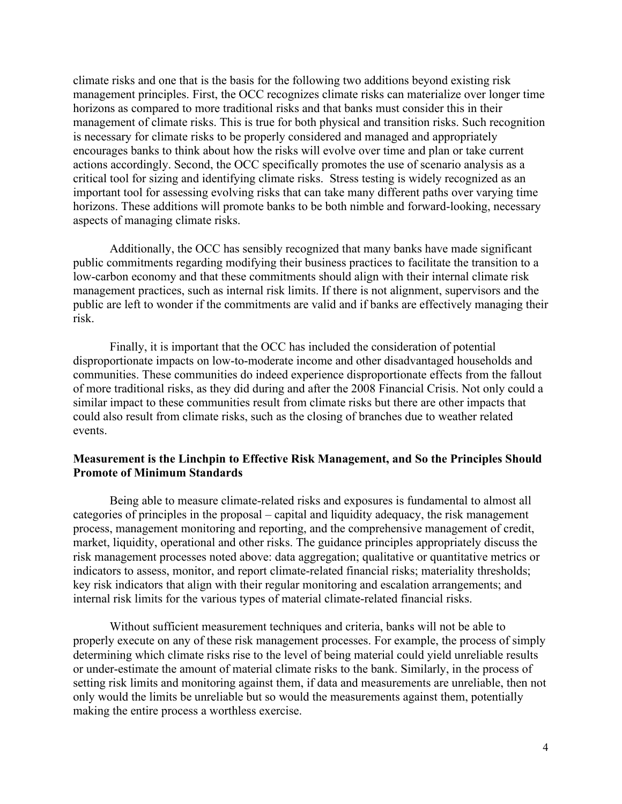climate risks and one that is the basis for the following two additions beyond existing risk management principles. First, the OCC recognizes climate risks can materialize over longer time horizons as compared to more traditional risks and that banks must consider this in their management of climate risks. This is true for both physical and transition risks. Such recognition is necessary for climate risks to be properly considered and managed and appropriately encourages banks to think about how the risks will evolve over time and plan or take current actions accordingly. Second, the OCC specifically promotes the use of scenario analysis as a critical tool for sizing and identifying climate risks. Stress testing is widely recognized as an important tool for assessing evolving risks that can take many different paths over varying time horizons. These additions will promote banks to be both nimble and forward-looking, necessary aspects of managing climate risks.

Additionally, the OCC has sensibly recognized that many banks have made significant public commitments regarding modifying their business practices to facilitate the transition to a low-carbon economy and that these commitments should align with their internal climate risk management practices, such as internal risk limits. If there is not alignment, supervisors and the public are left to wonder if the commitments are valid and if banks are effectively managing their risk.

Finally, it is important that the OCC has included the consideration of potential disproportionate impacts on low-to-moderate income and other disadvantaged households and communities. These communities do indeed experience disproportionate effects from the fallout of more traditional risks, as they did during and after the 2008 Financial Crisis. Not only could a similar impact to these communities result from climate risks but there are other impacts that could also result from climate risks, such as the closing of branches due to weather related events.

#### **Measurement is the Linchpin to Effective Risk Management, and So the Principles Should Promote of Minimum Standards**

Being able to measure climate-related risks and exposures is fundamental to almost all categories of principles in the proposal – capital and liquidity adequacy, the risk management process, management monitoring and reporting, and the comprehensive management of credit, market, liquidity, operational and other risks. The guidance principles appropriately discuss the risk management processes noted above: data aggregation; qualitative or quantitative metrics or indicators to assess, monitor, and report climate-related financial risks; materiality thresholds; key risk indicators that align with their regular monitoring and escalation arrangements; and internal risk limits for the various types of material climate-related financial risks.

Without sufficient measurement techniques and criteria, banks will not be able to properly execute on any of these risk management processes. For example, the process of simply determining which climate risks rise to the level of being material could yield unreliable results or under-estimate the amount of material climate risks to the bank. Similarly, in the process of setting risk limits and monitoring against them, if data and measurements are unreliable, then not only would the limits be unreliable but so would the measurements against them, potentially making the entire process a worthless exercise.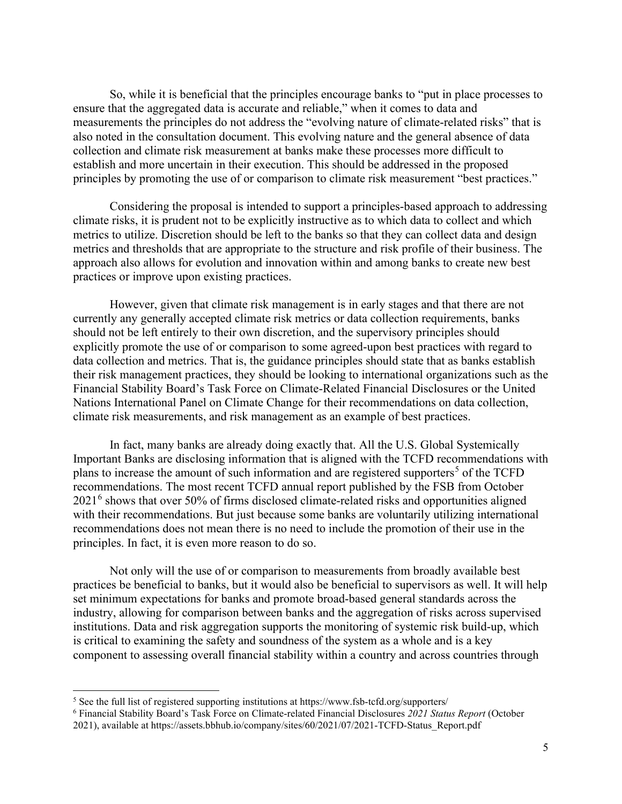So, while it is beneficial that the principles encourage banks to "put in place processes to ensure that the aggregated data is accurate and reliable," when it comes to data and measurements the principles do not address the "evolving nature of climate-related risks" that is also noted in the consultation document. This evolving nature and the general absence of data collection and climate risk measurement at banks make these processes more difficult to establish and more uncertain in their execution. This should be addressed in the proposed principles by promoting the use of or comparison to climate risk measurement "best practices."

Considering the proposal is intended to support a principles-based approach to addressing climate risks, it is prudent not to be explicitly instructive as to which data to collect and which metrics to utilize. Discretion should be left to the banks so that they can collect data and design metrics and thresholds that are appropriate to the structure and risk profile of their business. The approach also allows for evolution and innovation within and among banks to create new best practices or improve upon existing practices.

However, given that climate risk management is in early stages and that there are not currently any generally accepted climate risk metrics or data collection requirements, banks should not be left entirely to their own discretion, and the supervisory principles should explicitly promote the use of or comparison to some agreed-upon best practices with regard to data collection and metrics. That is, the guidance principles should state that as banks establish their risk management practices, they should be looking to international organizations such as the Financial Stability Board's Task Force on Climate-Related Financial Disclosures or the United Nations International Panel on Climate Change for their recommendations on data collection, climate risk measurements, and risk management as an example of best practices.

In fact, many banks are already doing exactly that. All the U.S. Global Systemically Important Banks are disclosing information that is aligned with the TCFD recommendations with plans to increase the amount of such information and are registered supporters<sup>[5](#page-4-0)</sup> of the TCFD recommendations. The most recent TCFD annual report published by the FSB from October 2021[6](#page-4-1) shows that over 50% of firms disclosed climate-related risks and opportunities aligned with their recommendations. But just because some banks are voluntarily utilizing international recommendations does not mean there is no need to include the promotion of their use in the principles. In fact, it is even more reason to do so.

Not only will the use of or comparison to measurements from broadly available best practices be beneficial to banks, but it would also be beneficial to supervisors as well. It will help set minimum expectations for banks and promote broad-based general standards across the industry, allowing for comparison between banks and the aggregation of risks across supervised institutions. Data and risk aggregation supports the monitoring of systemic risk build-up, which is critical to examining the safety and soundness of the system as a whole and is a key component to assessing overall financial stability within a country and across countries through

<span id="page-4-0"></span><sup>&</sup>lt;sup>5</sup> See the full list of registered supporting institutions at https://www.fsb-tcfd.org/supporters/

<span id="page-4-1"></span><sup>6</sup> Financial Stability Board's Task Force on Climate-related Financial Disclosures *2021 Status Report* (October

<sup>2021),</sup> available at https://assets.bbhub.io/company/sites/60/2021/07/2021-TCFD-Status\_Report.pdf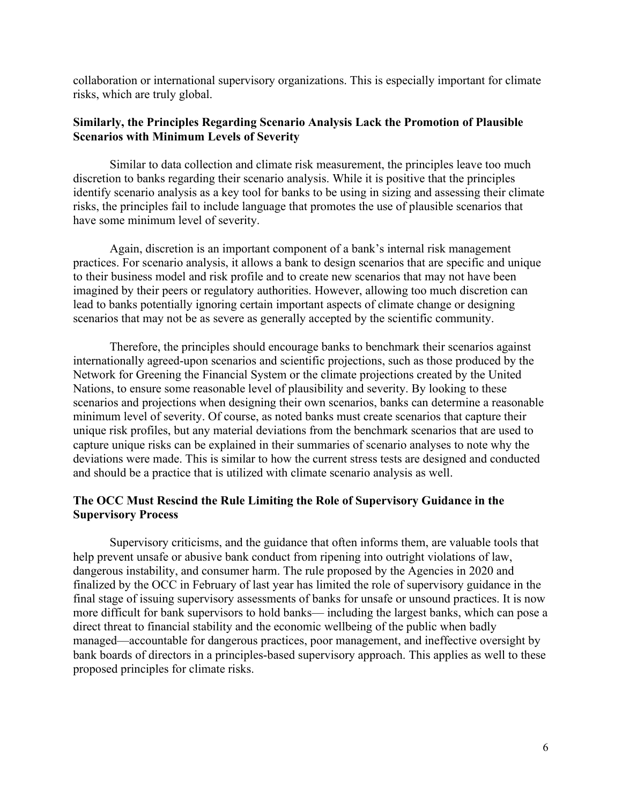collaboration or international supervisory organizations. This is especially important for climate risks, which are truly global.

### **Similarly, the Principles Regarding Scenario Analysis Lack the Promotion of Plausible Scenarios with Minimum Levels of Severity**

Similar to data collection and climate risk measurement, the principles leave too much discretion to banks regarding their scenario analysis. While it is positive that the principles identify scenario analysis as a key tool for banks to be using in sizing and assessing their climate risks, the principles fail to include language that promotes the use of plausible scenarios that have some minimum level of severity.

Again, discretion is an important component of a bank's internal risk management practices. For scenario analysis, it allows a bank to design scenarios that are specific and unique to their business model and risk profile and to create new scenarios that may not have been imagined by their peers or regulatory authorities. However, allowing too much discretion can lead to banks potentially ignoring certain important aspects of climate change or designing scenarios that may not be as severe as generally accepted by the scientific community.

Therefore, the principles should encourage banks to benchmark their scenarios against internationally agreed-upon scenarios and scientific projections, such as those produced by the Network for Greening the Financial System or the climate projections created by the United Nations, to ensure some reasonable level of plausibility and severity. By looking to these scenarios and projections when designing their own scenarios, banks can determine a reasonable minimum level of severity. Of course, as noted banks must create scenarios that capture their unique risk profiles, but any material deviations from the benchmark scenarios that are used to capture unique risks can be explained in their summaries of scenario analyses to note why the deviations were made. This is similar to how the current stress tests are designed and conducted and should be a practice that is utilized with climate scenario analysis as well.

## **The OCC Must Rescind the Rule Limiting the Role of Supervisory Guidance in the Supervisory Process**

Supervisory criticisms, and the guidance that often informs them, are valuable tools that help prevent unsafe or abusive bank conduct from ripening into outright violations of law, dangerous instability, and consumer harm. The rule proposed by the Agencies in 2020 and finalized by the OCC in February of last year has limited the role of supervisory guidance in the final stage of issuing supervisory assessments of banks for unsafe or unsound practices. It is now more difficult for bank supervisors to hold banks— including the largest banks, which can pose a direct threat to financial stability and the economic wellbeing of the public when badly managed—accountable for dangerous practices, poor management, and ineffective oversight by bank boards of directors in a principles-based supervisory approach. This applies as well to these proposed principles for climate risks.